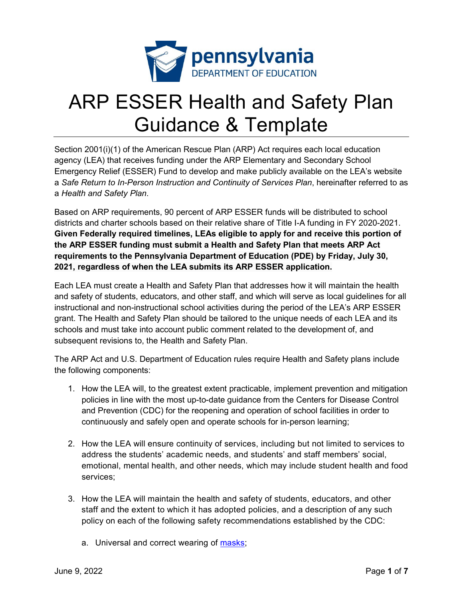

## ARP ESSER Health and Safety Plan Guidance & Template

Section 2001(i)(1) of the American Rescue Plan (ARP) Act requires each local education agency (LEA) that receives funding under the ARP Elementary and Secondary School Emergency Relief (ESSER) Fund to develop and make publicly available on the LEA's website a *Safe Return to In-Person Instruction and Continuity of Services Plan*, hereinafter referred to as a *Health and Safety Plan*.

Based on ARP requirements, 90 percent of ARP ESSER funds will be distributed to school districts and charter schools based on their relative share of Title I-A funding in FY 2020-2021. **Given Federally required timelines, LEAs eligible to apply for and receive this portion of the ARP ESSER funding must submit a Health and Safety Plan that meets ARP Act requirements to the Pennsylvania Department of Education (PDE) by Friday, July 30, 2021, regardless of when the LEA submits its ARP ESSER application.** 

Each LEA must create a Health and Safety Plan that addresses how it will maintain the health and safety of students, educators, and other staff, and which will serve as local guidelines for all instructional and non-instructional school activities during the period of the LEA's ARP ESSER grant. The Health and Safety Plan should be tailored to the unique needs of each LEA and its schools and must take into account public comment related to the development of, and subsequent revisions to, the Health and Safety Plan.

The ARP Act and U.S. Department of Education rules require Health and Safety plans include the following components:

- 1. How the LEA will, to the greatest extent practicable, implement prevention and mitigation policies in line with the most up-to-date guidance from the Centers for Disease Control and Prevention (CDC) for the reopening and operation of school facilities in order to continuously and safely open and operate schools for in-person learning;
- 2. How the LEA will ensure continuity of services, including but not limited to services to address the students' academic needs, and students' and staff members' social, emotional, mental health, and other needs, which may include student health and food services;
- 3. How the LEA will maintain the health and safety of students, educators, and other staff and the extent to which it has adopted policies, and a description of any such policy on each of the following safety recommendations established by the CDC:
	- a. Universal and correct wearing of [masks;](https://www.cdc.gov/coronavirus/2019-ncov/prevent-getting-sick/cloth-face-cover-guidance.html?CDC_AA_refVal=https%3A%2F%2Fwww.cdc.gov%2Fcoronavirus%2F2019-ncov%2Fcommunity%2Fschools-childcare%2Fcloth-face-cover.html)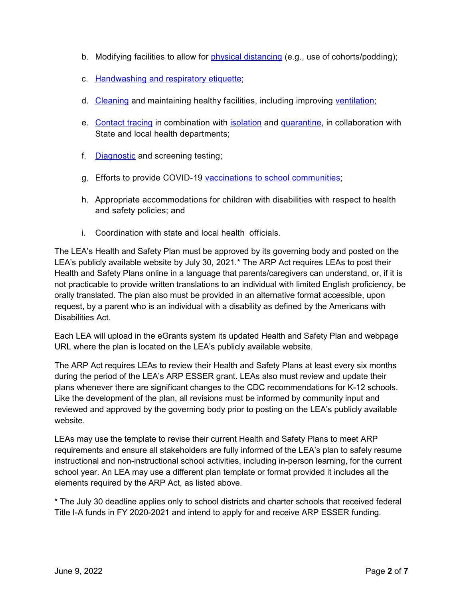- b. Modifying facilities to allow for [physical distancing](https://www.cdc.gov/coronavirus/2019-ncov/prevent-getting-sick/social-distancing.html) (e.g., use of cohorts/podding);
- c. [Handwashing and respiratory etiquette;](https://www.cdc.gov/handwashing/when-how-handwashing.html)
- d. [Cleaning](https://www.cdc.gov/coronavirus/2019-ncov/community/clean-disinfect/index.html) and maintaining healthy facilities, including improving [ventilation;](https://www.cdc.gov/coronavirus/2019-ncov/community/schools-childcare/ventilation.html)
- e. [Contact tracing](https://www.cdc.gov/coronavirus/2019-ncov/php/contact-tracing/contact-tracing-resources.html?CDC_AA_refVal=https%3A%2F%2Fwww.cdc.gov%2Fcoronavirus%2F2019-ncov%2Fphp%2Fopen-america%2Fcontact-tracing-resources.html) in combination with [isolation](https://www.cdc.gov/coronavirus/2019-ncov/if-you-are-sick/isolation.html) and [quarantine,](https://www.cdc.gov/coronavirus/2019-ncov/if-you-are-sick/quarantine.html) in collaboration with State and local health departments;
- f. [Diagnostic](https://www.cdc.gov/coronavirus/2019-ncov/lab/pooling-procedures.html) and screening testing;
- g. Efforts to provide COVID-19 [vaccinations to school communities;](https://www.cdc.gov/coronavirus/2019-ncov/vaccines/toolkits/schools-childcare.html)
- h. Appropriate accommodations for children with disabilities with respect to health and safety policies; and
- i. Coordination with state and local health officials.

The LEA's Health and Safety Plan must be approved by its governing body and posted on the LEA's publicly available website by July 30, 2021.\* The ARP Act requires LEAs to post their Health and Safety Plans online in a language that parents/caregivers can understand, or, if it is not practicable to provide written translations to an individual with limited English proficiency, be orally translated. The plan also must be provided in an alternative format accessible, upon request, by a parent who is an individual with a disability as defined by the Americans with Disabilities Act.

Each LEA will upload in the eGrants system its updated Health and Safety Plan and webpage URL where the plan is located on the LEA's publicly available website.

The ARP Act requires LEAs to review their Health and Safety Plans at least every six months during the period of the LEA's ARP ESSER grant. LEAs also must review and update their plans whenever there are significant changes to the CDC recommendations for K-12 schools. Like the development of the plan, all revisions must be informed by community input and reviewed and approved by the governing body prior to posting on the LEA's publicly available website.

LEAs may use the template to revise their current Health and Safety Plans to meet ARP requirements and ensure all stakeholders are fully informed of the LEA's plan to safely resume instructional and non-instructional school activities, including in-person learning, for the current school year. An LEA may use a different plan template or format provided it includes all the elements required by the ARP Act, as listed above.

\* The July 30 deadline applies only to school districts and charter schools that received federal Title I-A funds in FY 2020-2021 and intend to apply for and receive ARP ESSER funding.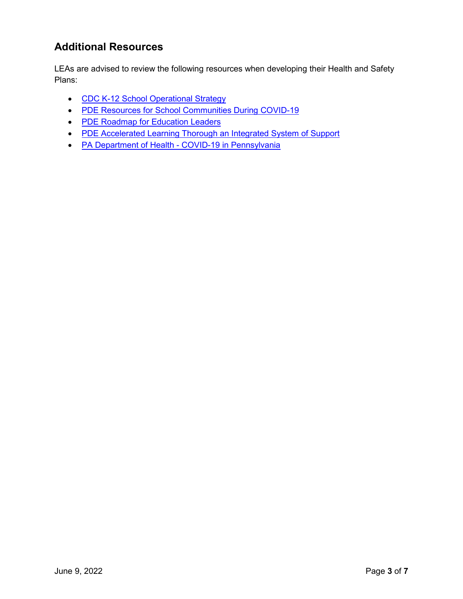## **Additional Resources**

LEAs are advised to review the following resources when developing their Health and Safety Plans:

- [CDC K-12 School Operational Strategy](https://www.cdc.gov/coronavirus/2019-ncov/community/schools-childcare/operation-strategy.html?CDC_AA_refVal=https%3A%2F%2Fwww.cdc.gov%2Fcoronavirus%2F2019-ncov%2Fcommunity%2Fschools-childcare%2Fschools.html)
- [PDE Resources for School Communities During COVID-19](https://www.education.pa.gov/Schools/safeschools/emergencyplanning/COVID-19/Pages/default.aspx)
- [PDE Roadmap for Education Leaders](https://www.education.pa.gov/Schools/safeschools/emergencyplanning/COVID-19/SchoolReopeningGuidance/ReopeningPreKto12/CreatingEquitableSchoolSystems/Pages/default.aspx)
- [PDE Accelerated Learning Thorough an Integrated System of Support](https://www.education.pa.gov/Schools/safeschools/emergencyplanning/COVID-19/SchoolReopeningGuidance/ReopeningPreKto12/CreatingEquitableSchoolSystems/AcceleratedLearning/Pages/default.aspx)
- [PA Department of Health COVID-19 in Pennsylvania](https://www.health.pa.gov/topics/disease/coronavirus/Pages/Coronavirus.aspx)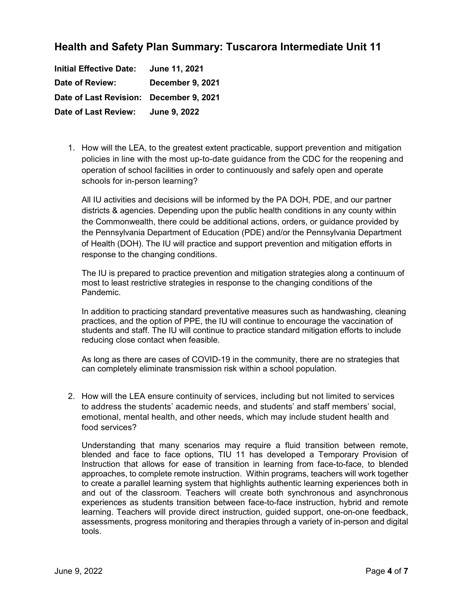## **Health and Safety Plan Summary: Tuscarora Intermediate Unit 11**

**Initial Effective Date: June 11, 2021 Date of Review: December 9, 2021 Date of Last Revision: December 9, 2021 Date of Last Review: June 9, 2022**

1. How will the LEA, to the greatest extent practicable, support prevention and mitigation policies in line with the most up-to-date guidance from the CDC for the reopening and operation of school facilities in order to continuously and safely open and operate schools for in-person learning?

All IU activities and decisions will be informed by the PA DOH, PDE, and our partner districts & agencies. Depending upon the public health conditions in any county within the Commonwealth, there could be additional actions, orders, or guidance provided by the Pennsylvania Department of Education (PDE) and/or the Pennsylvania Department of Health (DOH). The IU will practice and support prevention and mitigation efforts in response to the changing conditions.

The IU is prepared to practice prevention and mitigation strategies along a continuum of most to least restrictive strategies in response to the changing conditions of the Pandemic.

In addition to practicing standard preventative measures such as handwashing, cleaning practices, and the option of PPE, the IU will continue to encourage the vaccination of students and staff. The IU will continue to practice standard mitigation efforts to include reducing close contact when feasible.

As long as there are cases of COVID-19 in the community, there are no strategies that can completely eliminate transmission risk within a school population.

2. How will the LEA ensure continuity of services, including but not limited to services to address the students' academic needs, and students' and staff members' social, emotional, mental health, and other needs, which may include student health and food services?

Understanding that many scenarios may require a fluid transition between remote, blended and face to face options, TIU 11 has developed a Temporary Provision of Instruction that allows for ease of transition in learning from face-to-face, to blended approaches, to complete remote instruction. Within programs, teachers will work together to create a parallel learning system that highlights authentic learning experiences both in and out of the classroom. Teachers will create both synchronous and asynchronous experiences as students transition between face-to-face instruction, hybrid and remote learning. Teachers will provide direct instruction, guided support, one-on-one feedback, assessments, progress monitoring and therapies through a variety of in-person and digital tools.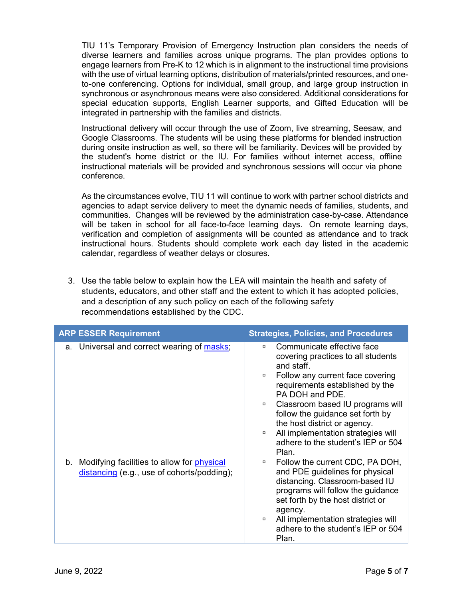TIU 11's Temporary Provision of Emergency Instruction plan considers the needs of diverse learners and families across unique programs. The plan provides options to engage learners from Pre-K to 12 which is in alignment to the instructional time provisions with the use of virtual learning options, distribution of materials/printed resources, and oneto-one conferencing. Options for individual, small group, and large group instruction in synchronous or asynchronous means were also considered. Additional considerations for special education supports, English Learner supports, and Gifted Education will be integrated in partnership with the families and districts.

Instructional delivery will occur through the use of Zoom, live streaming, Seesaw, and Google Classrooms. The students will be using these platforms for blended instruction during onsite instruction as well, so there will be familiarity. Devices will be provided by the student's home district or the IU. For families without internet access, offline instructional materials will be provided and synchronous sessions will occur via phone conference.

As the circumstances evolve, TIU 11 will continue to work with partner school districts and agencies to adapt service delivery to meet the dynamic needs of families, students, and communities. Changes will be reviewed by the administration case-by-case. Attendance will be taken in school for all face-to-face learning days. On remote learning days, verification and completion of assignments will be counted as attendance and to track instructional hours. Students should complete work each day listed in the academic calendar, regardless of weather delays or closures.

3. Use the table below to explain how the LEA will maintain the health and safety of students, educators, and other staff and the extent to which it has adopted policies, and a description of any such policy on each of the following safety recommendations established by the CDC.

| <b>ARP ESSER Requirement</b>                                                                       | <b>Strategies, Policies, and Procedures</b>                                                                                                                                                                                                                                                                                                                                                         |  |
|----------------------------------------------------------------------------------------------------|-----------------------------------------------------------------------------------------------------------------------------------------------------------------------------------------------------------------------------------------------------------------------------------------------------------------------------------------------------------------------------------------------------|--|
| a. Universal and correct wearing of masks;                                                         | Communicate effective face<br>0<br>covering practices to all students<br>and staff.<br>Follow any current face covering<br>$\Box$<br>requirements established by the<br>PA DOH and PDE.<br>Classroom based IU programs will<br>$\Box$<br>follow the guidance set forth by<br>the host district or agency.<br>All implementation strategies will<br>0<br>adhere to the student's IEP or 504<br>Plan. |  |
| b. Modifying facilities to allow for <i>physical</i><br>distancing (e.g., use of cohorts/podding); | Follow the current CDC, PA DOH,<br>α<br>and PDE guidelines for physical<br>distancing. Classroom-based IU<br>programs will follow the guidance<br>set forth by the host district or<br>agency.<br>All implementation strategies will<br>$\Box$<br>adhere to the student's IEP or 504<br>Plan.                                                                                                       |  |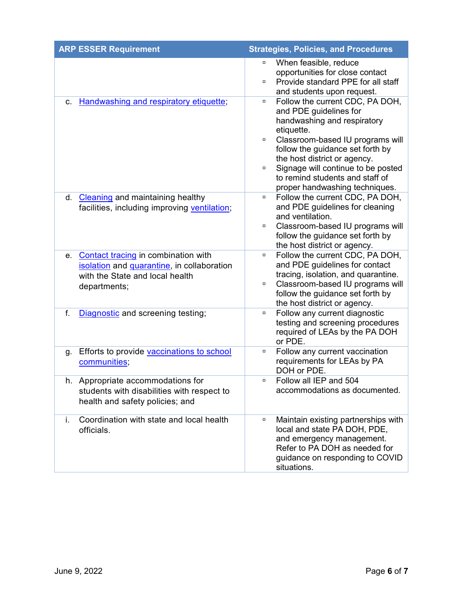| <b>ARP ESSER Requirement</b> |                                                                                                                                      | <b>Strategies, Policies, and Procedures</b> |                                                                                                                                                                                                                                                                                                                           |
|------------------------------|--------------------------------------------------------------------------------------------------------------------------------------|---------------------------------------------|---------------------------------------------------------------------------------------------------------------------------------------------------------------------------------------------------------------------------------------------------------------------------------------------------------------------------|
|                              |                                                                                                                                      | α<br>$\Box$                                 | When feasible, reduce<br>opportunities for close contact<br>Provide standard PPE for all staff<br>and students upon request.                                                                                                                                                                                              |
| c.                           | Handwashing and respiratory etiquette;                                                                                               | α<br>$\Box$<br>$\Box$                       | Follow the current CDC, PA DOH,<br>and PDE guidelines for<br>handwashing and respiratory<br>etiquette.<br>Classroom-based IU programs will<br>follow the guidance set forth by<br>the host district or agency.<br>Signage will continue to be posted<br>to remind students and staff of<br>proper handwashing techniques. |
|                              | d. Cleaning and maintaining healthy<br>facilities, including improving ventilation;                                                  | α<br>α                                      | Follow the current CDC, PA DOH,<br>and PDE guidelines for cleaning<br>and ventilation.<br>Classroom-based IU programs will<br>follow the guidance set forth by<br>the host district or agency.                                                                                                                            |
| е.                           | Contact tracing in combination with<br>isolation and quarantine, in collaboration<br>with the State and local health<br>departments; | α<br>α                                      | Follow the current CDC, PA DOH,<br>and PDE guidelines for contact<br>tracing, isolation, and quarantine.<br>Classroom-based IU programs will<br>follow the guidance set forth by<br>the host district or agency.                                                                                                          |
| f.                           | Diagnostic and screening testing;                                                                                                    | $\Box$                                      | Follow any current diagnostic<br>testing and screening procedures<br>required of LEAs by the PA DOH<br>or PDE.                                                                                                                                                                                                            |
| g.                           | Efforts to provide vaccinations to school<br>communities;                                                                            | $\Box$                                      | Follow any current vaccination<br>requirements for LEAs by PA<br>DOH or PDE.                                                                                                                                                                                                                                              |
|                              | h. Appropriate accommodations for<br>students with disabilities with respect to<br>health and safety policies; and                   |                                             | Follow all IEP and 504<br>accommodations as documented.                                                                                                                                                                                                                                                                   |
| i.                           | Coordination with state and local health<br>officials.                                                                               | $\Box$                                      | Maintain existing partnerships with<br>local and state PA DOH, PDE,<br>and emergency management.<br>Refer to PA DOH as needed for<br>guidance on responding to COVID<br>situations.                                                                                                                                       |